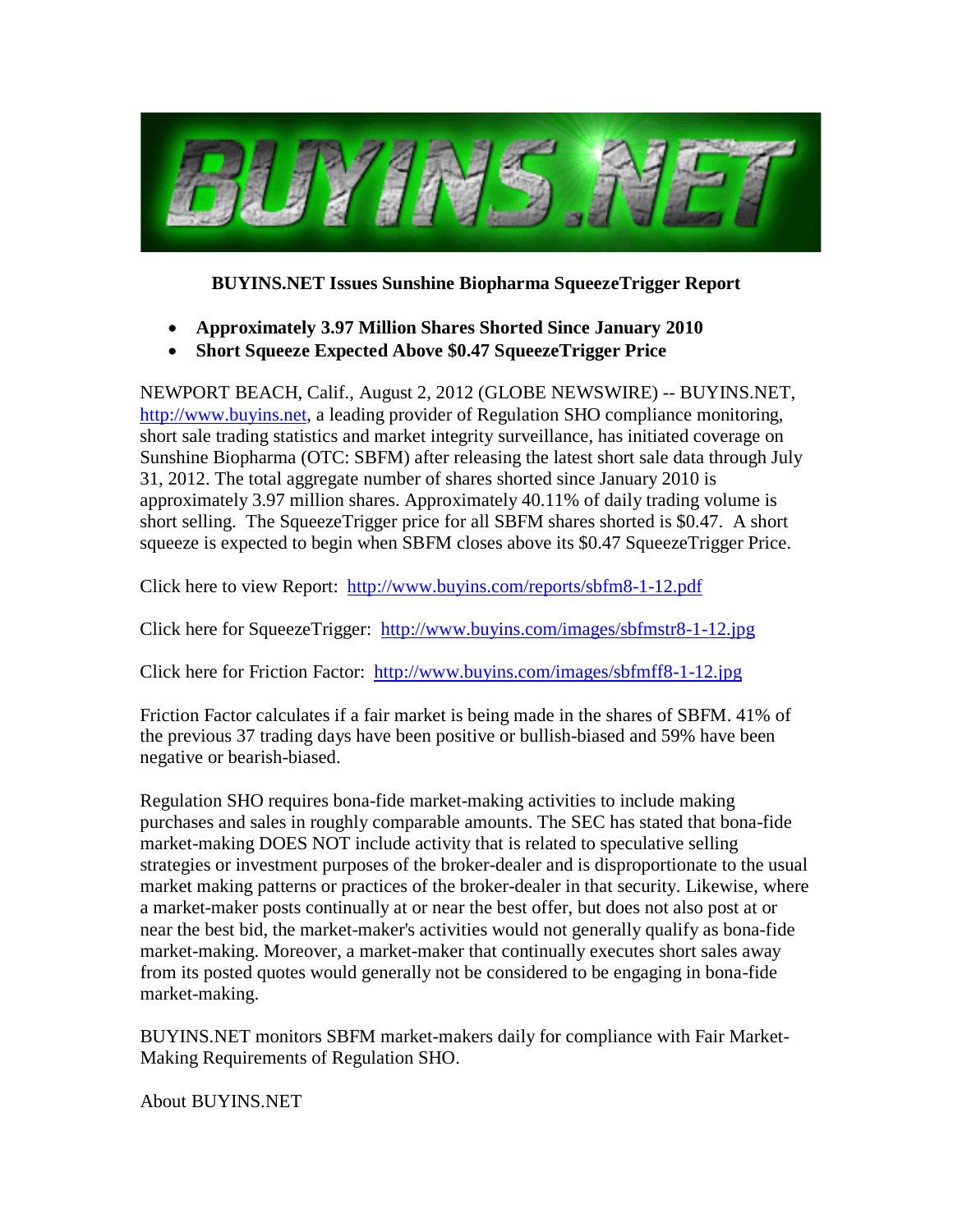

**BUYINS.NET Issues Sunshine Biopharma SqueezeTrigger Report**

- **Approximately 3.97 Million Shares Shorted Since January 2010**
- **Short Squeeze Expected Above \$0.47 SqueezeTrigger Price**

NEWPORT BEACH, Calif., August 2, 2012 (GLOBE NEWSWIRE) -- BUYINS.NET, [http://www.buyins.net,](http://www.buyins.net/) a leading provider of Regulation SHO compliance monitoring, short sale trading statistics and market integrity surveillance, has initiated coverage on Sunshine Biopharma (OTC: SBFM) after releasing the latest short sale data through July 31, 2012. The total aggregate number of shares shorted since January 2010 is approximately 3.97 million shares. Approximately 40.11% of daily trading volume is short selling. The SqueezeTrigger price for all SBFM shares shorted is \$0.47. A short squeeze is expected to begin when SBFM closes above its \$0.47 SqueezeTrigger Price.

Click here to view Report: <http://www.buyins.com/reports/sbfm8-1-12.pdf>

Click here for SqueezeTrigger: <http://www.buyins.com/images/sbfmstr8-1-12.jpg>

Click here for Friction Factor: <http://www.buyins.com/images/sbfmff8-1-12.jpg>

Friction Factor calculates if a fair market is being made in the shares of SBFM. 41% of the previous 37 trading days have been positive or bullish-biased and 59% have been negative or bearish-biased.

Regulation SHO requires bona-fide market-making activities to include making purchases and sales in roughly comparable amounts. The SEC has stated that bona-fide market-making DOES NOT include activity that is related to speculative selling strategies or investment purposes of the broker-dealer and is disproportionate to the usual market making patterns or practices of the broker-dealer in that security. Likewise, where a market-maker posts continually at or near the best offer, but does not also post at or near the best bid, the market-maker's activities would not generally qualify as bona-fide market-making. Moreover, a market-maker that continually executes short sales away from its posted quotes would generally not be considered to be engaging in bona-fide market-making.

BUYINS.NET monitors SBFM market-makers daily for compliance with Fair Market-Making Requirements of Regulation SHO.

About BUYINS.NET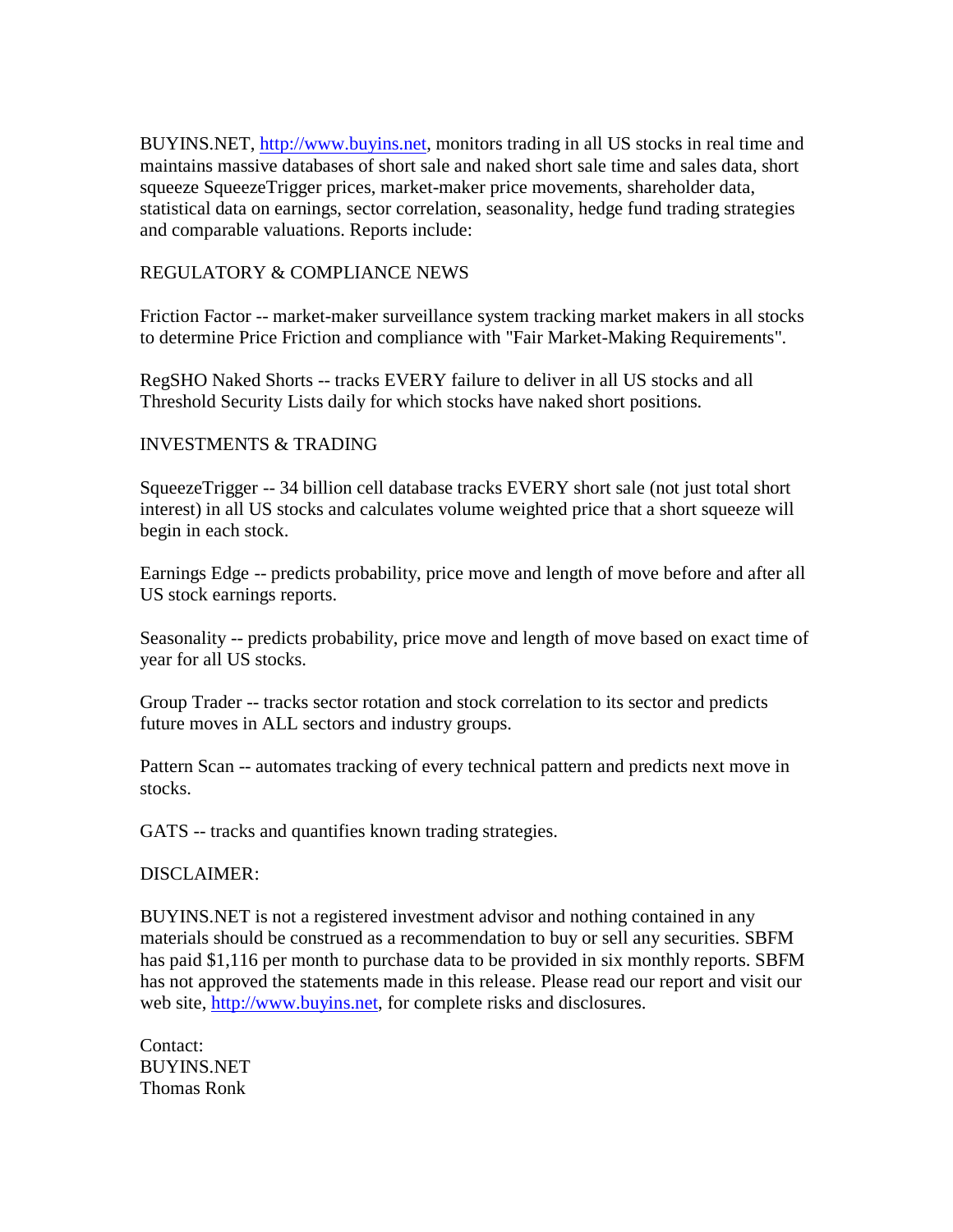BUYINS.NET, [http://www.buyins.net,](http://www.buyins.net/) monitors trading in all US stocks in real time and maintains massive databases of short sale and naked short sale time and sales data, short squeeze SqueezeTrigger prices, market-maker price movements, shareholder data, statistical data on earnings, sector correlation, seasonality, hedge fund trading strategies and comparable valuations. Reports include:

## REGULATORY & COMPLIANCE NEWS

Friction Factor -- market-maker surveillance system tracking market makers in all stocks to determine Price Friction and compliance with "Fair Market-Making Requirements".

RegSHO Naked Shorts -- tracks EVERY failure to deliver in all US stocks and all Threshold Security Lists daily for which stocks have naked short positions.

## INVESTMENTS & TRADING

SqueezeTrigger -- 34 billion cell database tracks EVERY short sale (not just total short interest) in all US stocks and calculates volume weighted price that a short squeeze will begin in each stock.

Earnings Edge -- predicts probability, price move and length of move before and after all US stock earnings reports.

Seasonality -- predicts probability, price move and length of move based on exact time of year for all US stocks.

Group Trader -- tracks sector rotation and stock correlation to its sector and predicts future moves in ALL sectors and industry groups.

Pattern Scan -- automates tracking of every technical pattern and predicts next move in stocks.

GATS -- tracks and quantifies known trading strategies.

## DISCLAIMER:

BUYINS.NET is not a registered investment advisor and nothing contained in any materials should be construed as a recommendation to buy or sell any securities. SBFM has paid \$1,116 per month to purchase data to be provided in six monthly reports. SBFM has not approved the statements made in this release. Please read our report and visit our web site, [http://www.buyins.net,](http://www.buyins.net/) for complete risks and disclosures.

Contact: BUYINS.NET Thomas Ronk